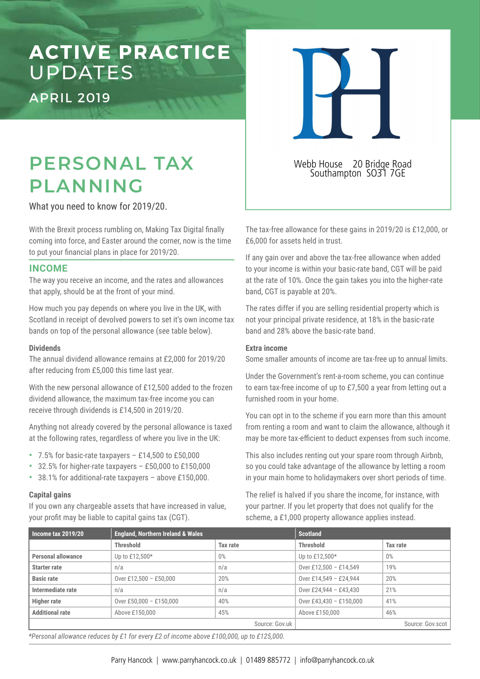# **ACTIVE PRACTICE**  UPDATES

APRIL 2019

## **PERSONAL TAX PLANNING**

What you need to know for 2019/20.

With the Brexit process rumbling on, Making Tax Digital finally coming into force, and Easter around the corner, now is the time to put your financial plans in place for 2019/20.

#### **INCOME**

The way you receive an income, and the rates and allowances that apply, should be at the front of your mind.

How much you pay depends on where you live in the UK, with Scotland in receipt of devolved powers to set it's own income tax bands on top of the personal allowance (see table below).

#### **Dividends**

The annual dividend allowance remains at £2,000 for 2019/20 after reducing from £5,000 this time last year.

With the new personal allowance of £12,500 added to the frozen dividend allowance, the maximum tax-free income you can receive through dividends is £14,500 in 2019/20.

Anything not already covered by the personal allowance is taxed at the following rates, regardless of where you live in the UK:

- 7.5% for basic-rate taxpayers £14,500 to £50,000
- 32.5% for higher-rate taxpayers £50,000 to £150,000
- 38.1% for additional-rate taxpayers above £150,000.

#### **Capital gains**

If you own any chargeable assets that have increased in value, your profit may be liable to capital gains tax (CGT).

Webb House 20 Bridge Road Southampton SO31 7GE

The tax-free allowance for these gains in 2019/20 is £12,000, or £6,000 for assets held in trust.

If any gain over and above the tax-free allowance when added to your income is within your basic-rate band, CGT will be paid at the rate of 10%. Once the gain takes you into the higher-rate band, CGT is payable at 20%.

The rates differ if you are selling residential property which is not your principal private residence, at 18% in the basic-rate band and 28% above the basic-rate band.

#### **Extra income**

Some smaller amounts of income are tax-free up to annual limits.

Under the Government's rent-a-room scheme, you can continue to earn tax-free income of up to £7,500 a year from letting out a furnished room in your home.

You can opt in to the scheme if you earn more than this amount from renting a room and want to claim the allowance, although it may be more tax-efficient to deduct expenses from such income.

This also includes renting out your spare room through Airbnb, so you could take advantage of the allowance by letting a room in your main home to holidaymakers over short periods of time.

The relief is halved if you share the income, for instance, with your partner. If you let property that does not qualify for the scheme, a £1,000 property allowance applies instead.

| Income tax 2019/20        | <b>England, Northern Ireland &amp; Wales</b> |          | <b>Scotland</b>         |          |
|---------------------------|----------------------------------------------|----------|-------------------------|----------|
|                           | <b>Threshold</b>                             | Tax rate | <b>Threshold</b>        | Tax rate |
| <b>Personal allowance</b> | Up to £12,500*                               | $0\%$    | Up to £12,500*          | $0\%$    |
| <b>Starter rate</b>       | n/a                                          | n/a      | Over £12,500 - £14,549  | 19%      |
| <b>Basic rate</b>         | Over £12,500 - £50,000                       | 20%      | Over £14,549 - £24,944  | 20%      |
| Intermediate rate         | n/a                                          | n/a      | Over £24,944 - £43,430  | 21%      |
| <b>Higher rate</b>        | Over £50,000 - £150,000                      | 40%      | Over £43,430 - £150,000 | 41%      |
| <b>Additional rate</b>    | Above £150,000                               | 45%      | Above £150,000          | 46%      |
|                           | Source: Gov.uk                               |          | Source: Gov.scot        |          |

*\*Personal allowance reduces by £1 for every £2 of income above £100,000, up to £125,000.*